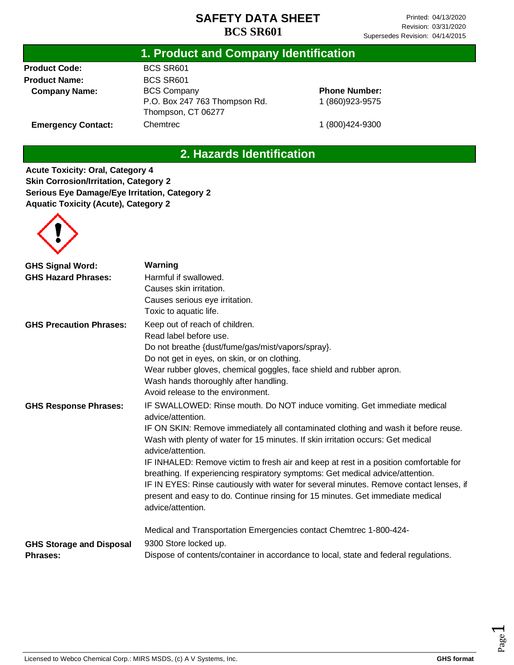## **1. Product and Company Identification**

**Product Code: Product Name: Company Name:**

**Emergency Contact:**

BCS SR601 BCS SR601 BCS Company P.O. Box 247 763 Thompson Rd. Thompson, CT 06277 Chemtrec

**Phone Number:** 1 (860)923-9575

1 (800)424-9300

## **2. Hazards Identification**

**Acute Toxicity: Oral, Category 4 Skin Corrosion/Irritation, Category 2 Serious Eye Damage/Eye Irritation, Category 2 Aquatic Toxicity (Acute), Category 2**



| <b>GHS Signal Word:</b>         | Warning                                                                                                                                                                 |
|---------------------------------|-------------------------------------------------------------------------------------------------------------------------------------------------------------------------|
| <b>GHS Hazard Phrases:</b>      | Harmful if swallowed.                                                                                                                                                   |
|                                 | Causes skin irritation.                                                                                                                                                 |
|                                 | Causes serious eye irritation.                                                                                                                                          |
|                                 | Toxic to aquatic life.                                                                                                                                                  |
| <b>GHS Precaution Phrases:</b>  | Keep out of reach of children.                                                                                                                                          |
|                                 | Read label before use.                                                                                                                                                  |
|                                 | Do not breathe {dust/fume/gas/mist/vapors/spray}.                                                                                                                       |
|                                 | Do not get in eyes, on skin, or on clothing.                                                                                                                            |
|                                 | Wear rubber gloves, chemical goggles, face shield and rubber apron.                                                                                                     |
|                                 | Wash hands thoroughly after handling.                                                                                                                                   |
|                                 | Avoid release to the environment.                                                                                                                                       |
| <b>GHS Response Phrases:</b>    | IF SWALLOWED: Rinse mouth. Do NOT induce vomiting. Get immediate medical<br>advice/attention.                                                                           |
|                                 | IF ON SKIN: Remove immediately all contaminated clothing and wash it before reuse.                                                                                      |
|                                 | Wash with plenty of water for 15 minutes. If skin irritation occurs: Get medical<br>advice/attention.                                                                   |
|                                 | IF INHALED: Remove victim to fresh air and keep at rest in a position comfortable for<br>breathing. If experiencing respiratory symptoms: Get medical advice/attention. |
|                                 | IF IN EYES: Rinse cautiously with water for several minutes. Remove contact lenses, if                                                                                  |
|                                 | present and easy to do. Continue rinsing for 15 minutes. Get immediate medical<br>advice/attention.                                                                     |
|                                 | Medical and Transportation Emergencies contact Chemtrec 1-800-424-                                                                                                      |
| <b>GHS Storage and Disposal</b> | 9300 Store locked up.                                                                                                                                                   |
| <b>Phrases:</b>                 | Dispose of contents/container in accordance to local, state and federal regulations.                                                                                    |

Page  $\overline{\phantom{0}}$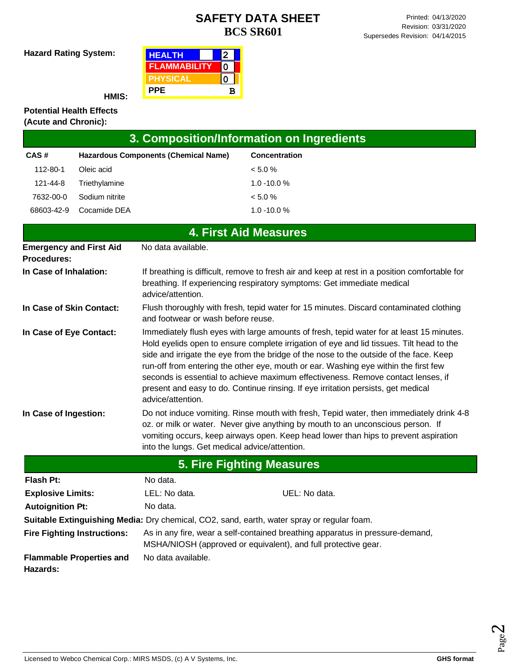**Hazard Rating System:**

| <b>HEALTH</b>       |   |  |
|---------------------|---|--|
| <b>FLAMMABILITY</b> |   |  |
| <b>IPHYSICAL</b>    |   |  |
| <b>PPE</b>          | в |  |

**HMIS:**

#### **Potential Health Effects (Acute and Chronic):**

| (Acute and Unionic).                                 |                                             |                                                                                                                                                                                              |                                                                                                                                                                                                                                                                                                                                                                                                                                                                                                                                                |  |  |
|------------------------------------------------------|---------------------------------------------|----------------------------------------------------------------------------------------------------------------------------------------------------------------------------------------------|------------------------------------------------------------------------------------------------------------------------------------------------------------------------------------------------------------------------------------------------------------------------------------------------------------------------------------------------------------------------------------------------------------------------------------------------------------------------------------------------------------------------------------------------|--|--|
|                                                      |                                             |                                                                                                                                                                                              | 3. Composition/Information on Ingredients                                                                                                                                                                                                                                                                                                                                                                                                                                                                                                      |  |  |
| CAS#                                                 | <b>Hazardous Components (Chemical Name)</b> |                                                                                                                                                                                              | Concentration                                                                                                                                                                                                                                                                                                                                                                                                                                                                                                                                  |  |  |
| 112-80-1                                             | Oleic acid                                  |                                                                                                                                                                                              | < 5.0 %                                                                                                                                                                                                                                                                                                                                                                                                                                                                                                                                        |  |  |
| 121-44-8                                             | Triethylamine                               |                                                                                                                                                                                              | $1.0 - 10.0 %$                                                                                                                                                                                                                                                                                                                                                                                                                                                                                                                                 |  |  |
| 7632-00-0                                            | Sodium nitrite                              |                                                                                                                                                                                              | < 5.0 %                                                                                                                                                                                                                                                                                                                                                                                                                                                                                                                                        |  |  |
| 68603-42-9                                           | Cocamide DEA                                |                                                                                                                                                                                              | $1.0 - 10.0 %$                                                                                                                                                                                                                                                                                                                                                                                                                                                                                                                                 |  |  |
|                                                      |                                             |                                                                                                                                                                                              | <b>4. First Aid Measures</b>                                                                                                                                                                                                                                                                                                                                                                                                                                                                                                                   |  |  |
| <b>Emergency and First Aid</b><br><b>Procedures:</b> |                                             | No data available.                                                                                                                                                                           |                                                                                                                                                                                                                                                                                                                                                                                                                                                                                                                                                |  |  |
| In Case of Inhalation:                               |                                             | If breathing is difficult, remove to fresh air and keep at rest in a position comfortable for<br>breathing. If experiencing respiratory symptoms: Get immediate medical<br>advice/attention. |                                                                                                                                                                                                                                                                                                                                                                                                                                                                                                                                                |  |  |
| In Case of Skin Contact:                             |                                             | Flush thoroughly with fresh, tepid water for 15 minutes. Discard contaminated clothing<br>and footwear or wash before reuse.                                                                 |                                                                                                                                                                                                                                                                                                                                                                                                                                                                                                                                                |  |  |
| In Case of Eye Contact:                              |                                             | advice/attention.                                                                                                                                                                            | Immediately flush eyes with large amounts of fresh, tepid water for at least 15 minutes.<br>Hold eyelids open to ensure complete irrigation of eye and lid tissues. Tilt head to the<br>side and irrigate the eye from the bridge of the nose to the outside of the face. Keep<br>run-off from entering the other eye, mouth or ear. Washing eye within the first few<br>seconds is essential to achieve maximum effectiveness. Remove contact lenses, if<br>present and easy to do. Continue rinsing. If eye irritation persists, get medical |  |  |
| In Case of Ingestion:                                |                                             | into the lungs. Get medical advice/attention.                                                                                                                                                | Do not induce vomiting. Rinse mouth with fresh, Tepid water, then immediately drink 4-8<br>oz. or milk or water. Never give anything by mouth to an unconscious person. If<br>vomiting occurs, keep airways open. Keep head lower than hips to prevent aspiration                                                                                                                                                                                                                                                                              |  |  |
|                                                      |                                             |                                                                                                                                                                                              | <b>5. Fire Fighting Measures</b>                                                                                                                                                                                                                                                                                                                                                                                                                                                                                                               |  |  |
| <b>Flash Pt:</b>                                     |                                             | No data.                                                                                                                                                                                     |                                                                                                                                                                                                                                                                                                                                                                                                                                                                                                                                                |  |  |

| <b>Explosive Limits:</b><br><b>Autoignition Pt:</b> | LEL: No data.<br>No data.                                                                  | UEL: No data.                                                                 |
|-----------------------------------------------------|--------------------------------------------------------------------------------------------|-------------------------------------------------------------------------------|
|                                                     | Suitable Extinguishing Media: Dry chemical, CO2, sand, earth, water spray or regular foam. |                                                                               |
| <b>Fire Fighting Instructions:</b>                  | MSHA/NIOSH (approved or equivalent), and full protective gear.                             | As in any fire, wear a self-contained breathing apparatus in pressure-demand, |
| <b>Flammable Properties and</b><br>Hazards:         | No data available.                                                                         |                                                                               |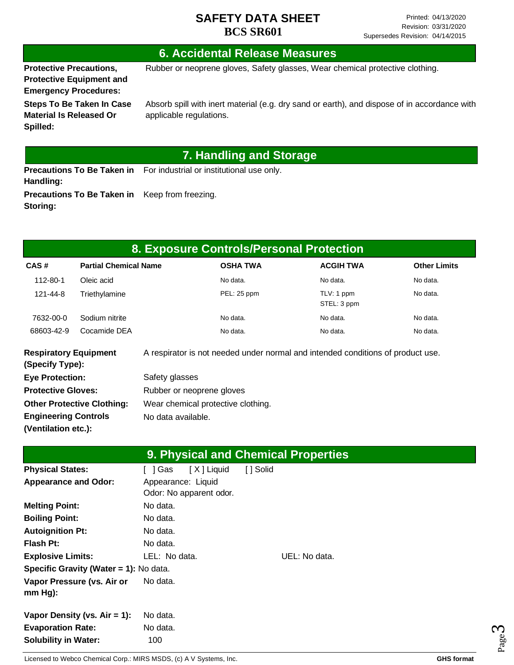### **6. Accidental Release Measures**

**Protective Precautions, Protective Equipment and** 

**Spilled:**

**Storing:**

Rubber or neoprene gloves, Safety glasses, Wear chemical protective clothing.

**Emergency Procedures: Steps To Be Taken In Case Material Is Released Or** 

Absorb spill with inert material (e.g. dry sand or earth), and dispose of in accordance with applicable regulations.

## **7. Handling and Storage**

**Precautions To Be Taken in** For industrial or institutional use only. **Handling: Precautions To Be Taken in**  Keep from freezing.

| 8. Exposure Controls/Personal Protection        |                              |                                                                                 |                 |                           |                     |  |
|-------------------------------------------------|------------------------------|---------------------------------------------------------------------------------|-----------------|---------------------------|---------------------|--|
| CAS#                                            | <b>Partial Chemical Name</b> |                                                                                 | <b>OSHA TWA</b> | <b>ACGIH TWA</b>          | <b>Other Limits</b> |  |
| 112-80-1                                        | Oleic acid                   |                                                                                 | No data.        | No data.                  | No data.            |  |
| 121-44-8                                        | Triethylamine                |                                                                                 | PEL: 25 ppm     | TLV: 1 ppm<br>STEL: 3 ppm | No data.            |  |
| 7632-00-0                                       | Sodium nitrite               |                                                                                 | No data.        | No data.                  | No data.            |  |
| 68603-42-9                                      | Cocamide DEA                 |                                                                                 | No data.        | No data.                  | No data.            |  |
| <b>Respiratory Equipment</b><br>(Specify Type): |                              | A respirator is not needed under normal and intended conditions of product use. |                 |                           |                     |  |
| <b>Eye Protection:</b>                          |                              | Safety glasses                                                                  |                 |                           |                     |  |
| <b>Protective Gloves:</b>                       |                              | Rubber or neoprene gloves                                                       |                 |                           |                     |  |

| <b>Protective Gloves:</b>         | Rubber or neoprene gloves          |
|-----------------------------------|------------------------------------|
| <b>Other Protective Clothing:</b> | Wear chemical protective clothing. |
| <b>Engineering Controls</b>       | No data available.                 |
| (Ventilation etc.):               |                                    |

| 9. Physical and Chemical Properties    |                         |               |  |  |  |  |
|----------------------------------------|-------------------------|---------------|--|--|--|--|
| <b>Physical States:</b>                | [X] Liquid<br>Gas       | [ ] Solid     |  |  |  |  |
| <b>Appearance and Odor:</b>            | Appearance: Liquid      |               |  |  |  |  |
|                                        | Odor: No apparent odor. |               |  |  |  |  |
| <b>Melting Point:</b>                  | No data.                |               |  |  |  |  |
| <b>Boiling Point:</b>                  | No data.                |               |  |  |  |  |
| <b>Autoignition Pt:</b>                | No data.                |               |  |  |  |  |
| <b>Flash Pt:</b>                       | No data.                |               |  |  |  |  |
| <b>Explosive Limits:</b>               | LEL: No data.           | UEL: No data. |  |  |  |  |
| Specific Gravity (Water = 1): No data. |                         |               |  |  |  |  |
| Vapor Pressure (vs. Air or             | No data.                |               |  |  |  |  |
| $mm Hg$ :                              |                         |               |  |  |  |  |
| Vapor Density (vs. $Air = 1$ ):        | No data.                |               |  |  |  |  |
| <b>Evaporation Rate:</b>               | No data.                |               |  |  |  |  |
| <b>Solubility in Water:</b>            | 100                     |               |  |  |  |  |

Page ო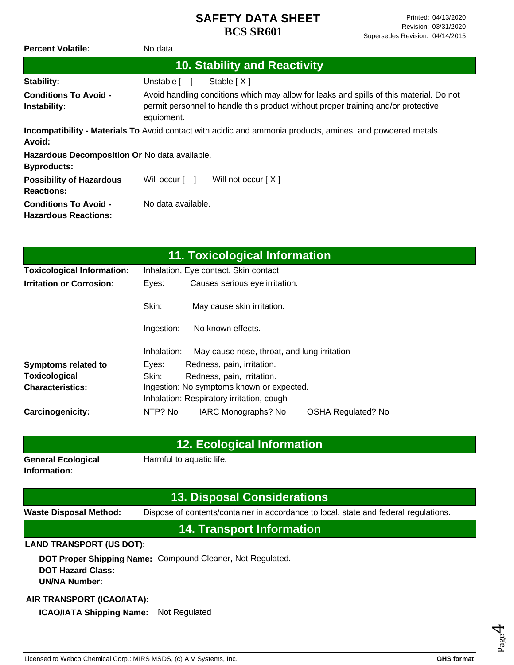| <b>Percent Volatile:</b>                                            | No data.                                                                                                                                                                                   |  |  |
|---------------------------------------------------------------------|--------------------------------------------------------------------------------------------------------------------------------------------------------------------------------------------|--|--|
| 10. Stability and Reactivity                                        |                                                                                                                                                                                            |  |  |
| Stability:                                                          | Stable $[X]$<br>Unstable [                                                                                                                                                                 |  |  |
| <b>Conditions To Avoid -</b><br>Instability:                        | Avoid handling conditions which may allow for leaks and spills of this material. Do not<br>permit personnel to handle this product without proper training and/or protective<br>equipment. |  |  |
| Avoid:                                                              | <b>Incompatibility - Materials To</b> Avoid contact with acidic and ammonia products, amines, and powdered metals.                                                                         |  |  |
| Hazardous Decomposition Or No data available.<br><b>Byproducts:</b> |                                                                                                                                                                                            |  |  |
| <b>Possibility of Hazardous</b><br><b>Reactions:</b>                | Will occur [ ]<br>Will not occur $[X]$                                                                                                                                                     |  |  |
| <b>Conditions To Avoid -</b><br><b>Hazardous Reactions:</b>         | No data available.                                                                                                                                                                         |  |  |

| 11. Toxicological Information     |                                           |                                             |                           |  |  |  |
|-----------------------------------|-------------------------------------------|---------------------------------------------|---------------------------|--|--|--|
| <b>Toxicological Information:</b> | Inhalation, Eye contact, Skin contact     |                                             |                           |  |  |  |
| <b>Irritation or Corrosion:</b>   | Eyes:                                     | Causes serious eye irritation.              |                           |  |  |  |
|                                   | Skin:                                     | May cause skin irritation.                  |                           |  |  |  |
|                                   | Ingestion:                                | No known effects.                           |                           |  |  |  |
|                                   | Inhalation:                               | May cause nose, throat, and lung irritation |                           |  |  |  |
| <b>Symptoms related to</b>        | Eyes:                                     | Redness, pain, irritation.                  |                           |  |  |  |
| Toxicological                     | Skin:                                     | Redness, pain, irritation.                  |                           |  |  |  |
| <b>Characteristics:</b>           | Ingestion: No symptoms known or expected. |                                             |                           |  |  |  |
|                                   | Inhalation: Respiratory irritation, cough |                                             |                           |  |  |  |
| Carcinogenicity:                  | NTP? No                                   | IARC Monographs? No                         | <b>OSHA Regulated? No</b> |  |  |  |

### **12. Ecological Information**

**General Ecological Information:**

Harmful to aquatic life.

### **13. Disposal Considerations**

**Waste Disposal Method:** Dispose of contents/container in accordance to local, state and federal regulations.

## **14. Transport Information**

#### **LAND TRANSPORT (US DOT):**

**DOT Proper Shipping Name:**  Compound Cleaner, Not Regulated. **DOT Hazard Class: UN/NA Number:**

#### **AIR TRANSPORT (ICAO/IATA):**

**ICAO/IATA Shipping Name:** Not Regulated

Page 4